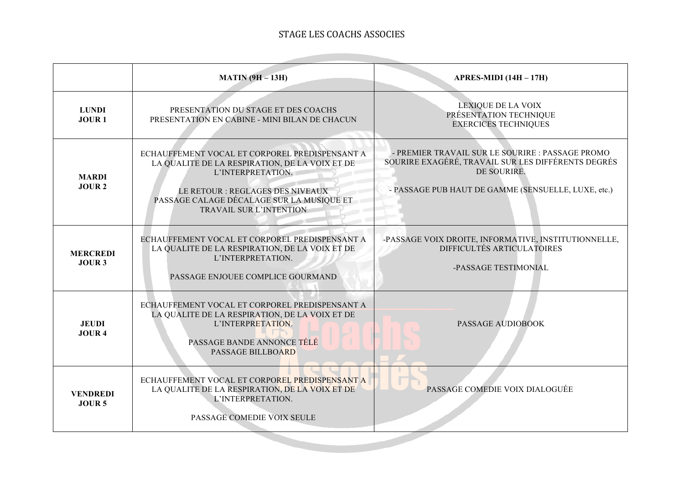## STAGE LES COACHS ASSOCIES

the control of the control of the

|                                      | <b>MATIN (9H - 13H)</b>                                                                                                                                                                                                                  | APRES-MIDI $(14H - 17H)$                                                                                                                                                     |
|--------------------------------------|------------------------------------------------------------------------------------------------------------------------------------------------------------------------------------------------------------------------------------------|------------------------------------------------------------------------------------------------------------------------------------------------------------------------------|
| <b>LUNDI</b><br><b>JOUR1</b>         | PRESENTATION DU STAGE ET DES COACHS<br>PRESENTATION EN CABINE - MINI BILAN DE CHACUN                                                                                                                                                     | <b>LEXIQUE DE LA VOIX</b><br>PRÉSENTATION TECHNIQUE<br><b>EXERCICES TECHNIQUES</b>                                                                                           |
| <b>MARDI</b><br>JOUR <sub>2</sub>    | ECHAUFFEMENT VOCAL ET CORPOREL PREDISPENSANT A<br>LA QUALITE DE LA RESPIRATION, DE LA VOIX ET DE<br>L'INTERPRETATION.<br>LE RETOUR : REGLAGES DES NIVEAUX<br>PASSAGE CALAGE DÉCALAGE SUR LA MUSIQUE ET<br><b>TRAVAIL SUR L'INTENTION</b> | - PREMIER TRAVAIL SUR LE SOURIRE : PASSAGE PROMO<br>SOURIRE EXAGÉRÉ, TRAVAIL SUR LES DIFFÉRENTS DEGRÉS<br>DE SOURIRE.<br>- PASSAGE PUB HAUT DE GAMME (SENSUELLE, LUXE, etc.) |
| <b>MERCREDI</b><br>JOUR 3            | ECHAUFFEMENT VOCAL ET CORPOREL PREDISPENSANT A<br>LA QUALITE DE LA RESPIRATION, DE LA VOIX ET DE<br>L'INTERPRETATION.<br>PASSAGE ENJOUEE COMPLICE GOURMAND                                                                               | -PASSAGE VOIX DROITE, INFORMATIVE, INSTITUTIONNELLE,<br>DIFFICULTÉS ARTICULATOIRES<br>-PASSAGE TESTIMONIAL                                                                   |
| <b>JEUDI</b><br><b>JOUR 4</b>        | ECHAUFFEMENT VOCAL ET CORPOREL PREDISPENSANT A<br>LA QUALITE DE LA RESPIRATION, DE LA VOIX ET DE<br>L'INTERPRETATION.<br>PASSAGE BANDE ANNONCE TÉLÉ<br>PASSAGE BILLBOARD                                                                 | <b>PASSAGE AUDIOBOOK</b>                                                                                                                                                     |
| <b>VENDREDI</b><br>JOUR <sub>5</sub> | ECHAUFFEMENT VOCAL ET CORPOREL PREDISPENSANT A<br>LA QUALITE DE LA RESPIRATION, DE LA VOIX ET DE<br>L'INTERPRETATION.<br>PASSAGE COMEDIE VOIX SEULE                                                                                      | PASSAGE COMEDIE VOIX DIALOGUÉE                                                                                                                                               |
|                                      |                                                                                                                                                                                                                                          |                                                                                                                                                                              |